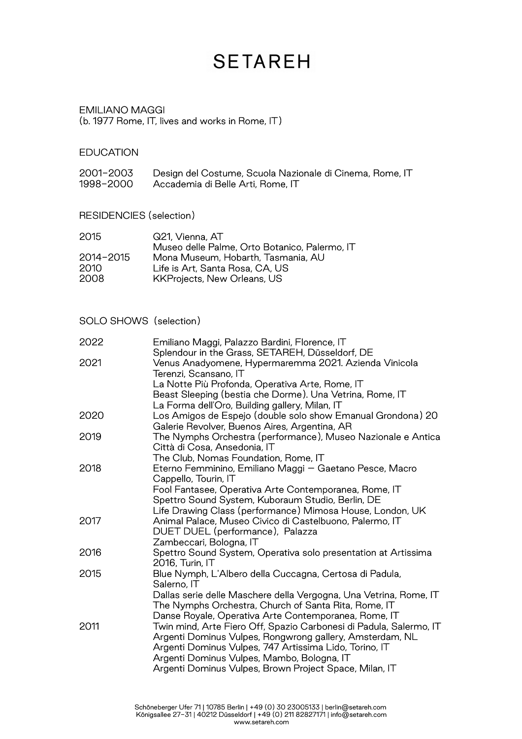## **SETAREH**

#### EMILIANO MAGGI (b. 1977 Rome, IT, lives and works in Rome, IT)

### **EDUCATION**

| 2001-2003 | Design del Costume, Scuola Nazionale di Cinema, Rome, IT |
|-----------|----------------------------------------------------------|
| 1998-2000 | Accademia di Belle Arti, Rome, IT                        |

RESIDENCIES (selection)

| 2015      | Q21, Vienna, AT                               |
|-----------|-----------------------------------------------|
|           | Museo delle Palme, Orto Botanico, Palermo, IT |
| 2014-2015 | Mona Museum, Hobarth, Tasmania, AU            |
| 2010.     | Life is Art, Santa Rosa, CA, US               |
| 2008      | KKProjects, New Orleans, US                   |
|           |                                               |

SOLO SHOWS (selection)

| 2022 | Emiliano Maggi, Palazzo Bardini, Florence, IT<br>Splendour in the Grass, SETAREH, Düsseldorf, DE             |
|------|--------------------------------------------------------------------------------------------------------------|
| 2021 | Venus Anadyomene, Hypermaremma 2021. Azienda Vinicola<br>Terenzi, Scansano, IT                               |
|      | La Notte Più Profonda, Operativa Arte, Rome, IT                                                              |
|      | Beast Sleeping (bestia che Dorme). Una Vetrina, Rome, IT                                                     |
|      | La Forma dell'Oro, Building gallery, Milan, IT                                                               |
| 2020 | Los Amigos de Espejo (double solo show Emanual Grondona) 20<br>Galerie Revolver, Buenos Aires, Argentina, AR |
| 2019 | The Nymphs Orchestra (performance), Museo Nazionale e Antica<br>Città di Cosa, Ansedonia, IT                 |
|      | The Club, Nomas Foundation, Rome, IT                                                                         |
| 2018 | Eterno Femminino, Emiliano Maggi - Gaetano Pesce, Macro                                                      |
|      | Cappello, Tourin, IT                                                                                         |
|      | Fool Fantasee, Operativa Arte Contemporanea, Rome, IT                                                        |
|      | Spettro Sound System, Kuboraum Studio, Berlin, DE                                                            |
|      | Life Drawing Class (performance) Mimosa House, London, UK                                                    |
| 2017 | Animal Palace, Museo Civico di Castelbuono, Palermo, IT                                                      |
|      | DUET DUEL (performance), Palazza                                                                             |
|      | Zambeccari, Bologna, IT                                                                                      |
| 2016 | Spettro Sound System, Operativa solo presentation at Artissima                                               |
|      | 2016, Turin, IT                                                                                              |
| 2015 | Blue Nymph, L'Albero della Cuccagna, Certosa di Padula,<br>Salerno, IT                                       |
|      | Dallas serie delle Maschere della Vergogna, Una Vetrina, Rome, IT                                            |
|      | The Nymphs Orchestra, Church of Santa Rita, Rome, IT                                                         |
|      | Danse Royale, Operativa Arte Contemporanea, Rome, IT                                                         |
| 2011 | Twin mind, Arte Fiero Off, Spazio Carbonesi di Padula, Salermo, IT                                           |
|      | Argenti Dominus Vulpes, Rongwrong gallery, Amsterdam, NL                                                     |
|      | Argenti Dominus Vulpes, 747 Artissima Lido, Torino, IT                                                       |
|      | Argenti Dominus Vulpes, Mambo, Bologna, IT                                                                   |
|      | Argenti Dominus Vulpes, Brown Project Space, Milan, IT                                                       |
|      |                                                                                                              |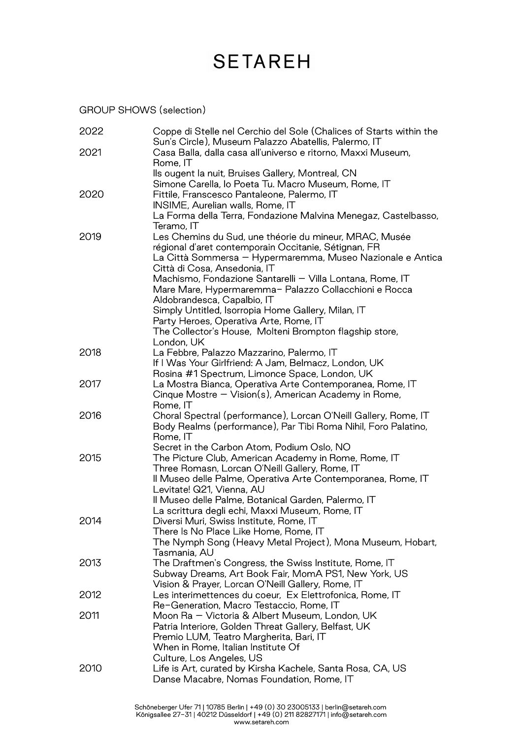# **SETAREH**

GROUP SHOWS (selection)

| 2022 | Coppe di Stelle nel Cerchio del Sole (Chalices of Starts within the<br>Sun's Circle), Museum Palazzo Abatellis, Palermo, IT |
|------|-----------------------------------------------------------------------------------------------------------------------------|
| 2021 | Casa Balla, dalla casa all'universo e ritorno, Maxxi Museum,<br>Rome, IT                                                    |
|      | Ils ougent la nuit, Bruises Gallery, Montreal, CN                                                                           |
|      | Simone Carella, lo Poeta Tu. Macro Museum, Rome, IT                                                                         |
| 2020 | Fittile, Franscesco Pantaleone, Palermo, IT                                                                                 |
|      | <b>INSIME, Aurelian walls, Rome, IT</b>                                                                                     |
|      | La Forma della Terra, Fondazione Malvina Menegaz, Castelbasso,<br>Teramo, IT                                                |
| 2019 | Les Chemins du Sud, une théorie du mineur, MRAC, Musée                                                                      |
|      | régional d'aret contemporain Occitanie, Sétignan, FR                                                                        |
|      | La Città Sommersa – Hypermaremma, Museo Nazionale e Antica                                                                  |
|      | Città di Cosa, Ansedonia, IT                                                                                                |
|      | Machismo, Fondazione Santarelli - Villa Lontana, Rome, IT                                                                   |
|      | Mare Mare, Hypermaremma- Palazzo Collacchioni e Rocca                                                                       |
|      | Aldobrandesca, Capalbio, IT                                                                                                 |
|      | Simply Untitled, Isorropia Home Gallery, Milan, IT                                                                          |
|      | Party Heroes, Operativa Arte, Rome, IT                                                                                      |
|      | The Collector's House, Molteni Brompton flagship store,                                                                     |
|      | London, UK                                                                                                                  |
| 2018 | La Febbre, Palazzo Mazzarino, Palermo, IT                                                                                   |
|      | If I Was Your Girlfriend: A Jam, Belmacz, London, UK                                                                        |
|      | Rosina #1 Spectrum, Limonce Space, London, UK                                                                               |
| 2017 | La Mostra Bianca, Operativa Arte Contemporanea, Rome, IT                                                                    |
|      | Cinque Mostre - Vision(s), American Academy in Rome,                                                                        |
| 2016 | Rome, IT<br>Choral Spectral (performance), Lorcan O'Neill Gallery, Rome, IT                                                 |
|      | Body Realms (performance), Par Tibi Roma Nihil, Foro Palatino,                                                              |
|      | Rome, IT                                                                                                                    |
|      | Secret in the Carbon Atom, Podium Oslo, NO                                                                                  |
| 2015 | The Picture Club, American Academy in Rome, Rome, IT                                                                        |
|      | Three Romasn, Lorcan O'Neill Gallery, Rome, IT                                                                              |
|      | Il Museo delle Palme, Operativa Arte Contemporanea, Rome, IT                                                                |
|      | Levitate! Q21, Vienna, AU                                                                                                   |
|      | Il Museo delle Palme, Botanical Garden, Palermo, IT                                                                         |
|      | La scrittura degli echi, Maxxi Museum, Rome, IT                                                                             |
| 2014 | Diversi Muri, Swiss Institute, Rome, IT                                                                                     |
|      | There Is No Place Like Home, Rome, IT                                                                                       |
|      | The Nymph Song (Heavy Metal Project), Mona Museum, Hobart,                                                                  |
|      | Tasmania, AU                                                                                                                |
| 2013 | The Draftmen's Congress, the Swiss Institute, Rome, IT                                                                      |
|      | Subway Dreams, Art Book Fair, MomA PS1, New York, US                                                                        |
|      | Vision & Prayer, Lorcan O'Neill Gallery, Rome, IT                                                                           |
| 2012 | Les interimettences du coeur, Ex Elettrofonica, Rome, IT                                                                    |
|      | Re-Generation, Macro Testaccio, Rome, IT                                                                                    |
| 2011 | Moon Ra - Victoria & Albert Museum, London, UK                                                                              |
|      | Patria Interiore, Golden Threat Gallery, Belfast, UK                                                                        |
|      | Premio LUM, Teatro Margherita, Bari, IT<br>When in Rome, Italian Institute Of                                               |
|      | Culture, Los Angeles, US                                                                                                    |
| 2010 | Life is Art, curated by Kirsha Kachele, Santa Rosa, CA, US                                                                  |
|      | Danse Macabre, Nomas Foundation, Rome, IT                                                                                   |
|      |                                                                                                                             |